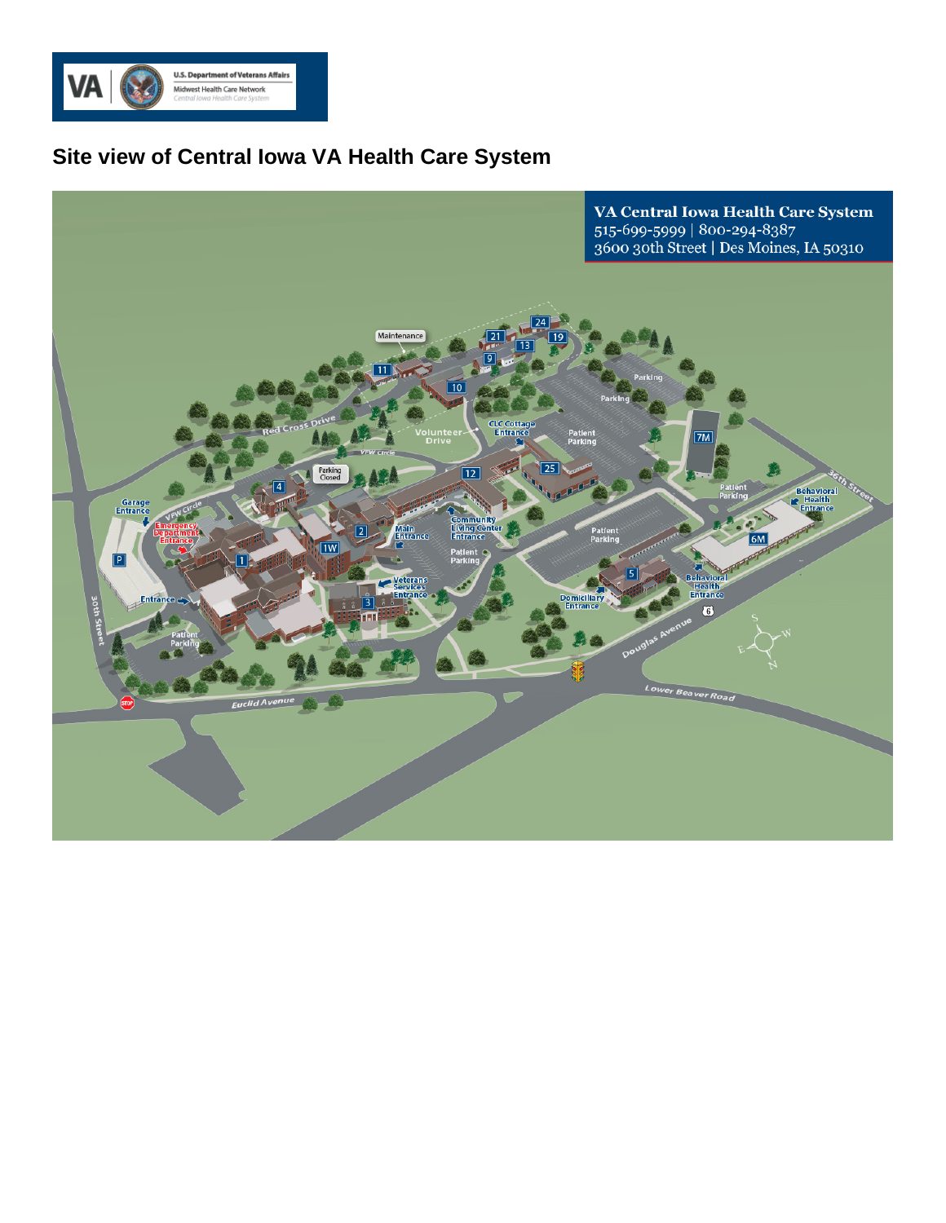

## **Site view of Central Iowa VA Health Care System**

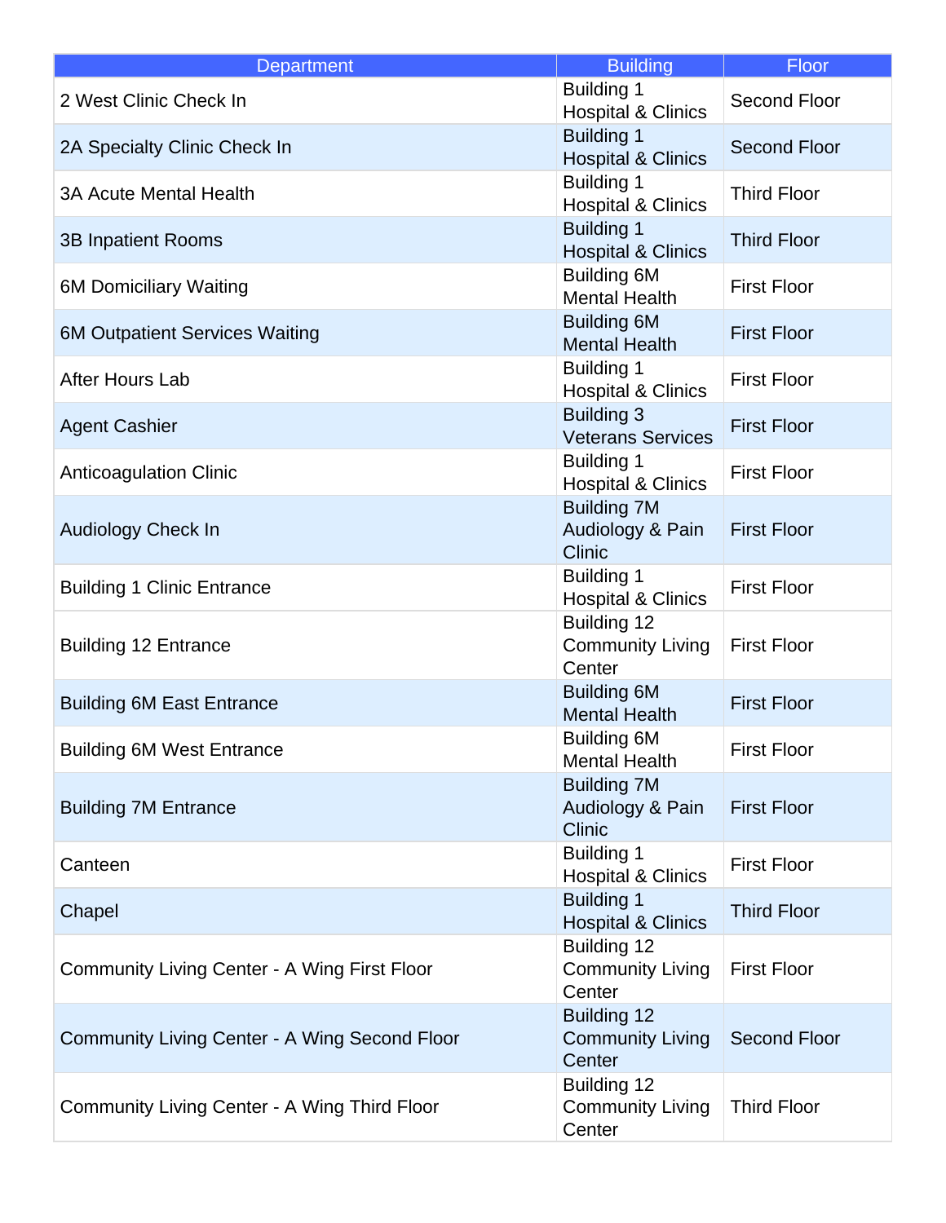| <b>Department</b>                                   | <b>Building</b>                                         | Floor               |
|-----------------------------------------------------|---------------------------------------------------------|---------------------|
| 2 West Clinic Check In                              | <b>Building 1</b><br><b>Hospital &amp; Clinics</b>      | Second Floor        |
| 2A Specialty Clinic Check In                        | <b>Building 1</b><br><b>Hospital &amp; Clinics</b>      | <b>Second Floor</b> |
| <b>3A Acute Mental Health</b>                       | <b>Building 1</b><br><b>Hospital &amp; Clinics</b>      | <b>Third Floor</b>  |
| <b>3B Inpatient Rooms</b>                           | <b>Building 1</b><br><b>Hospital &amp; Clinics</b>      | <b>Third Floor</b>  |
| <b>6M Domiciliary Waiting</b>                       | <b>Building 6M</b><br><b>Mental Health</b>              | <b>First Floor</b>  |
| <b>6M Outpatient Services Waiting</b>               | <b>Building 6M</b><br><b>Mental Health</b>              | <b>First Floor</b>  |
| After Hours Lab                                     | <b>Building 1</b><br><b>Hospital &amp; Clinics</b>      | <b>First Floor</b>  |
| <b>Agent Cashier</b>                                | <b>Building 3</b><br><b>Veterans Services</b>           | <b>First Floor</b>  |
| <b>Anticoagulation Clinic</b>                       | <b>Building 1</b><br><b>Hospital &amp; Clinics</b>      | <b>First Floor</b>  |
| <b>Audiology Check In</b>                           | <b>Building 7M</b><br>Audiology & Pain<br><b>Clinic</b> | <b>First Floor</b>  |
| <b>Building 1 Clinic Entrance</b>                   | <b>Building 1</b><br><b>Hospital &amp; Clinics</b>      | <b>First Floor</b>  |
| <b>Building 12 Entrance</b>                         | Building 12<br><b>Community Living</b><br>Center        | <b>First Floor</b>  |
| <b>Building 6M East Entrance</b>                    | <b>Building 6M</b><br><b>Mental Health</b>              | <b>First Floor</b>  |
| <b>Building 6M West Entrance</b>                    | <b>Building 6M</b><br><b>Mental Health</b>              | <b>First Floor</b>  |
| <b>Building 7M Entrance</b>                         | <b>Building 7M</b><br>Audiology & Pain<br><b>Clinic</b> | <b>First Floor</b>  |
| Canteen                                             | <b>Building 1</b><br><b>Hospital &amp; Clinics</b>      | <b>First Floor</b>  |
| Chapel                                              | <b>Building 1</b><br><b>Hospital &amp; Clinics</b>      | <b>Third Floor</b>  |
| <b>Community Living Center - A Wing First Floor</b> | Building 12<br><b>Community Living</b><br>Center        | <b>First Floor</b>  |
| Community Living Center - A Wing Second Floor       | <b>Building 12</b><br><b>Community Living</b><br>Center | <b>Second Floor</b> |
| <b>Community Living Center - A Wing Third Floor</b> | Building 12<br><b>Community Living</b><br>Center        | <b>Third Floor</b>  |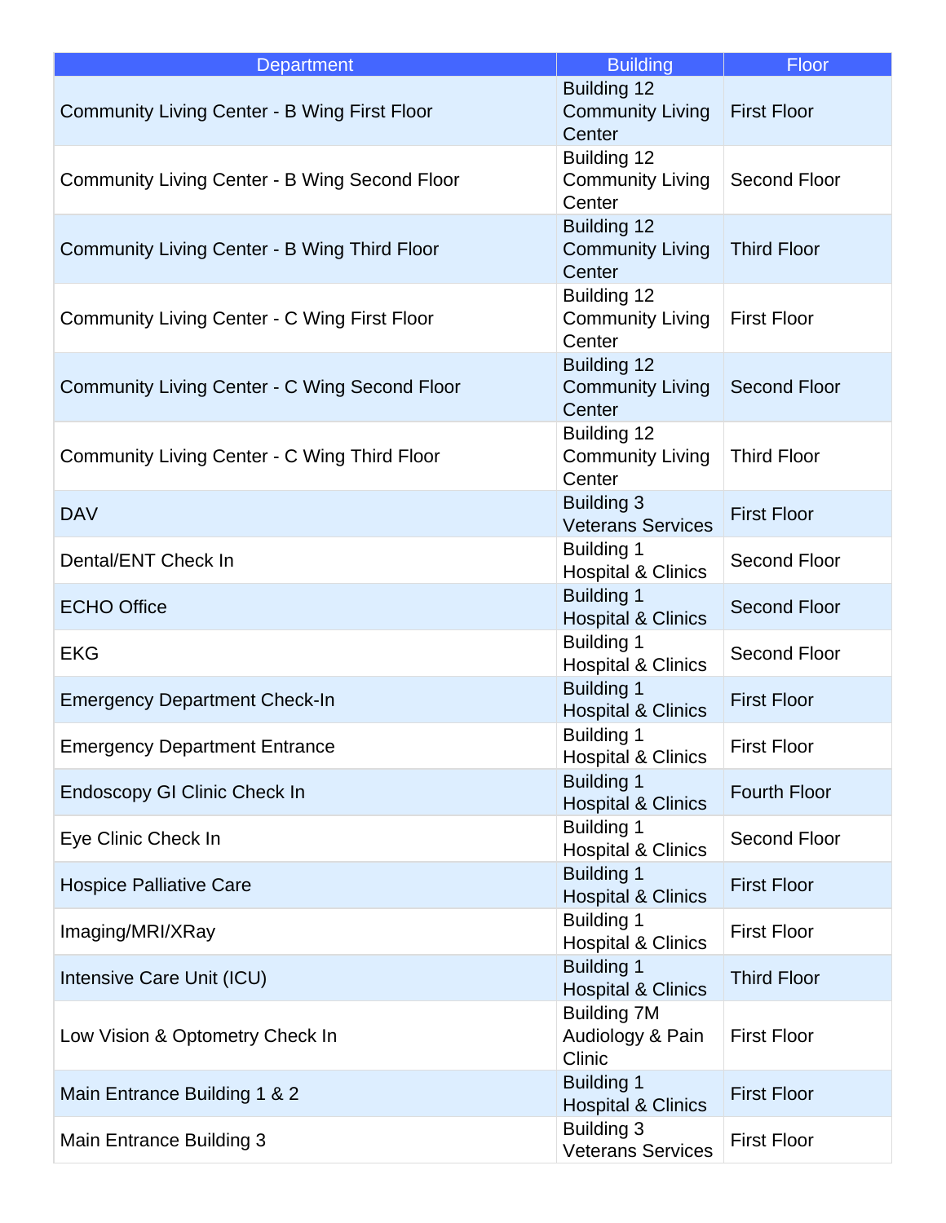| <b>Department</b>                                    | <b>Building</b>                                         | Floor               |
|------------------------------------------------------|---------------------------------------------------------|---------------------|
| <b>Community Living Center - B Wing First Floor</b>  | <b>Building 12</b><br><b>Community Living</b><br>Center | <b>First Floor</b>  |
| Community Living Center - B Wing Second Floor        | Building 12<br><b>Community Living</b><br>Center        | <b>Second Floor</b> |
| <b>Community Living Center - B Wing Third Floor</b>  | <b>Building 12</b><br><b>Community Living</b><br>Center | <b>Third Floor</b>  |
| Community Living Center - C Wing First Floor         | Building 12<br><b>Community Living</b><br>Center        | <b>First Floor</b>  |
| <b>Community Living Center - C Wing Second Floor</b> | <b>Building 12</b><br><b>Community Living</b><br>Center | <b>Second Floor</b> |
| Community Living Center - C Wing Third Floor         | Building 12<br><b>Community Living</b><br>Center        | <b>Third Floor</b>  |
| <b>DAV</b>                                           | <b>Building 3</b><br><b>Veterans Services</b>           | <b>First Floor</b>  |
| Dental/ENT Check In                                  | <b>Building 1</b><br><b>Hospital &amp; Clinics</b>      | Second Floor        |
| <b>ECHO Office</b>                                   | <b>Building 1</b><br><b>Hospital &amp; Clinics</b>      | <b>Second Floor</b> |
| <b>EKG</b>                                           | <b>Building 1</b><br><b>Hospital &amp; Clinics</b>      | Second Floor        |
| <b>Emergency Department Check-In</b>                 | <b>Building 1</b><br><b>Hospital &amp; Clinics</b>      | <b>First Floor</b>  |
| <b>Emergency Department Entrance</b>                 | <b>Building 1</b><br><b>Hospital &amp; Clinics</b>      | <b>First Floor</b>  |
| <b>Endoscopy GI Clinic Check In</b>                  | <b>Building 1</b><br><b>Hospital &amp; Clinics</b>      | <b>Fourth Floor</b> |
| Eye Clinic Check In                                  | <b>Building 1</b><br><b>Hospital &amp; Clinics</b>      | Second Floor        |
| <b>Hospice Palliative Care</b>                       | <b>Building 1</b><br><b>Hospital &amp; Clinics</b>      | <b>First Floor</b>  |
| Imaging/MRI/XRay                                     | <b>Building 1</b><br><b>Hospital &amp; Clinics</b>      | <b>First Floor</b>  |
| Intensive Care Unit (ICU)                            | <b>Building 1</b><br><b>Hospital &amp; Clinics</b>      | <b>Third Floor</b>  |
| Low Vision & Optometry Check In                      | <b>Building 7M</b><br>Audiology & Pain<br>Clinic        | <b>First Floor</b>  |
| Main Entrance Building 1 & 2                         | <b>Building 1</b><br><b>Hospital &amp; Clinics</b>      | <b>First Floor</b>  |
| Main Entrance Building 3                             | <b>Building 3</b><br><b>Veterans Services</b>           | <b>First Floor</b>  |